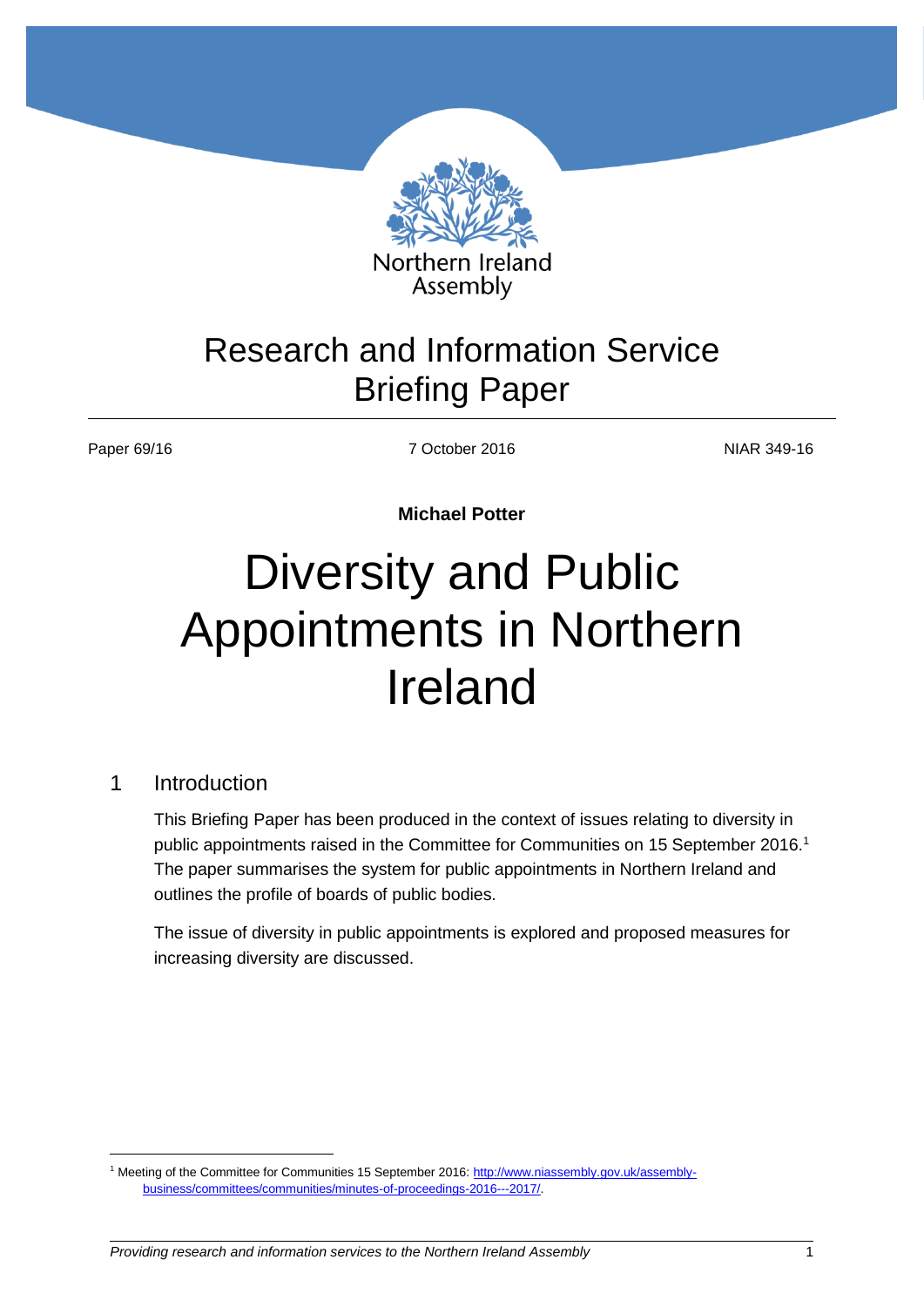

# Research and Information Service Briefing Paper

Paper 69/16 **NIAR 349-16** 7 October 2016 **NIAR 349-16** 

**Michael Potter**

# Diversity and Public Appointments in Northern Ireland

#### 1 Introduction

 $\overline{a}$ 

This Briefing Paper has been produced in the context of issues relating to diversity in public appointments raised in the Committee for Communities on 15 September 2016.<sup>1</sup> The paper summarises the system for public appointments in Northern Ireland and outlines the profile of boards of public bodies.

The issue of diversity in public appointments is explored and proposed measures for increasing diversity are discussed.

<sup>1</sup> Meeting of the Committee for Communities 15 September 2016: [http://www.niassembly.gov.uk/assembly](http://www.niassembly.gov.uk/assembly-business/committees/communities/minutes-of-proceedings-2016---2017/)[business/committees/communities/minutes-of-proceedings-2016---2017/.](http://www.niassembly.gov.uk/assembly-business/committees/communities/minutes-of-proceedings-2016---2017/)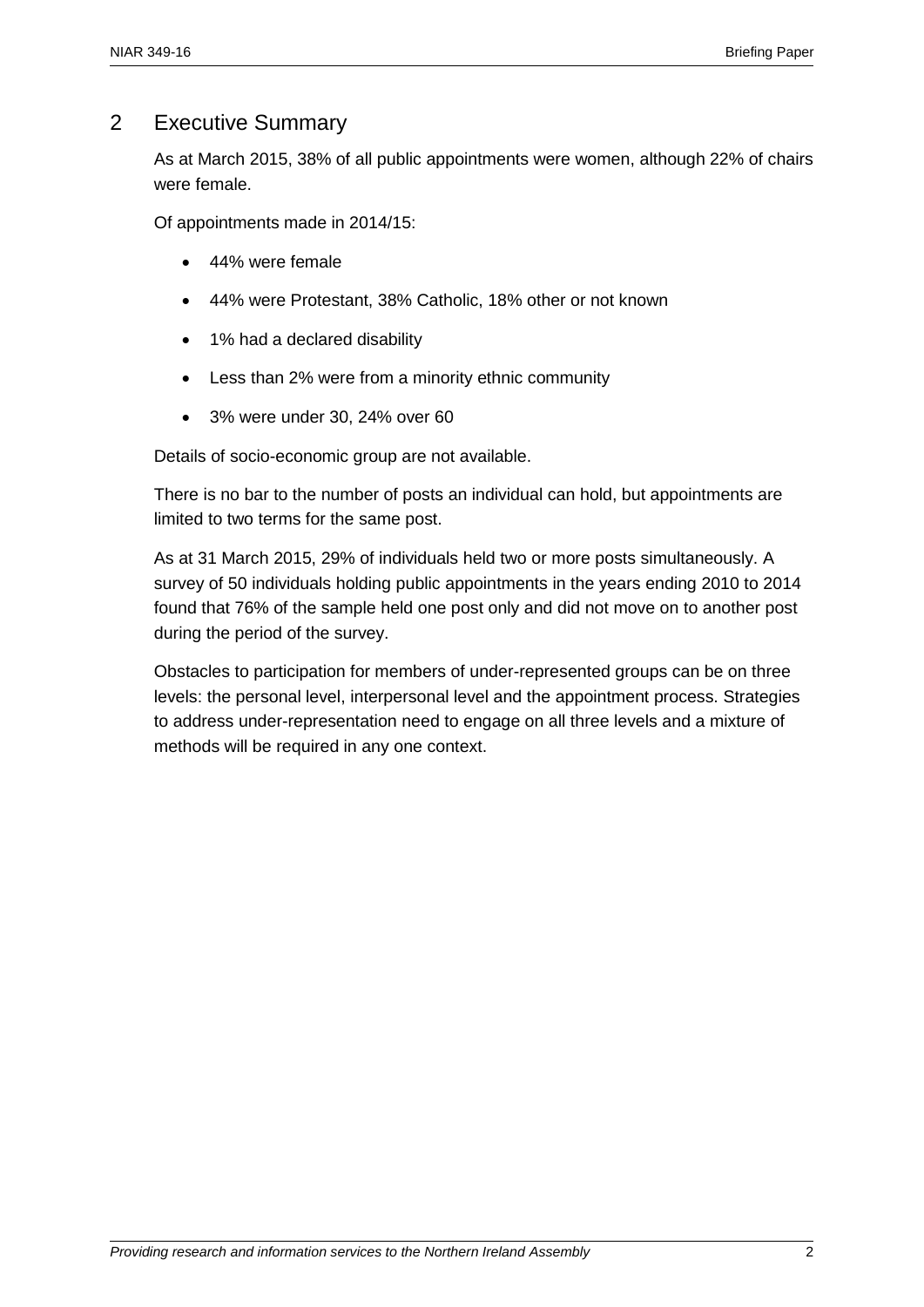### 2 Executive Summary

As at March 2015, 38% of all public appointments were women, although 22% of chairs were female.

Of appointments made in 2014/15:

- 44% were female
- 44% were Protestant, 38% Catholic, 18% other or not known
- 1% had a declared disability
- Less than 2% were from a minority ethnic community
- 3% were under 30, 24% over 60

Details of socio-economic group are not available.

There is no bar to the number of posts an individual can hold, but appointments are limited to two terms for the same post.

As at 31 March 2015, 29% of individuals held two or more posts simultaneously. A survey of 50 individuals holding public appointments in the years ending 2010 to 2014 found that 76% of the sample held one post only and did not move on to another post during the period of the survey.

Obstacles to participation for members of under-represented groups can be on three levels: the personal level, interpersonal level and the appointment process. Strategies to address under-representation need to engage on all three levels and a mixture of methods will be required in any one context.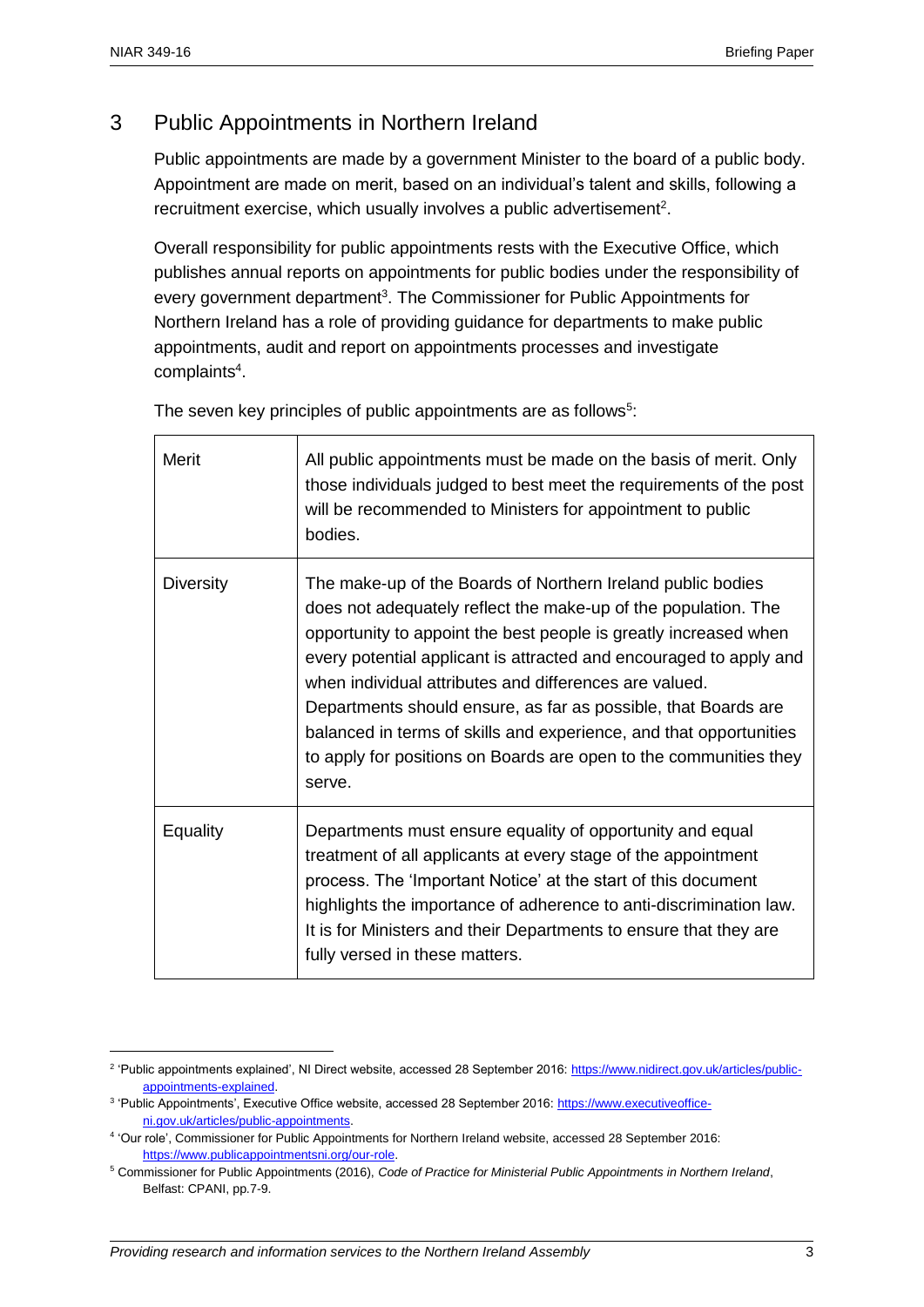$\overline{a}$ 

# 3 Public Appointments in Northern Ireland

Public appointments are made by a government Minister to the board of a public body. Appointment are made on merit, based on an individual's talent and skills, following a recruitment exercise, which usually involves a public advertisement<sup>2</sup>.

Overall responsibility for public appointments rests with the Executive Office, which publishes annual reports on appointments for public bodies under the responsibility of every government department<sup>3</sup>. The Commissioner for Public Appointments for Northern Ireland has a role of providing guidance for departments to make public appointments, audit and report on appointments processes and investigate complaints<sup>4</sup>.

Merit All public appointments must be made on the basis of merit. Only those individuals judged to best meet the requirements of the post will be recommended to Ministers for appointment to public bodies. Diversity The make-up of the Boards of Northern Ireland public bodies does not adequately reflect the make-up of the population. The opportunity to appoint the best people is greatly increased when every potential applicant is attracted and encouraged to apply and when individual attributes and differences are valued. Departments should ensure, as far as possible, that Boards are balanced in terms of skills and experience, and that opportunities to apply for positions on Boards are open to the communities they serve. Equality Departments must ensure equality of opportunity and equal treatment of all applicants at every stage of the appointment process. The 'Important Notice' at the start of this document highlights the importance of adherence to anti-discrimination law. It is for Ministers and their Departments to ensure that they are fully versed in these matters.

The seven key principles of public appointments are as follows<sup>5</sup>:

<sup>&</sup>lt;sup>2</sup> 'Public appointments explained', NI Direct website, accessed 28 September 2016: [https://www.nidirect.gov.uk/articles/public](https://www.nidirect.gov.uk/articles/public-appointments-explained)[appointments-explained.](https://www.nidirect.gov.uk/articles/public-appointments-explained)

<sup>&</sup>lt;sup>3</sup> 'Public Appointments', Executive Office website, accessed 28 September 2016: [https://www.executiveoffice](https://www.executiveoffice-ni.gov.uk/articles/public-appointments)[ni.gov.uk/articles/public-appointments.](https://www.executiveoffice-ni.gov.uk/articles/public-appointments) 

<sup>4</sup> 'Our role', Commissioner for Public Appointments for Northern Ireland website, accessed 28 September 2016: [https://www.publicappointmentsni.org/our-role.](https://www.publicappointmentsni.org/our-role) 

<sup>5</sup> Commissioner for Public Appointments (2016), *Code of Practice for Ministerial Public Appointments in Northern Ireland*, Belfast: CPANI, pp.7-9.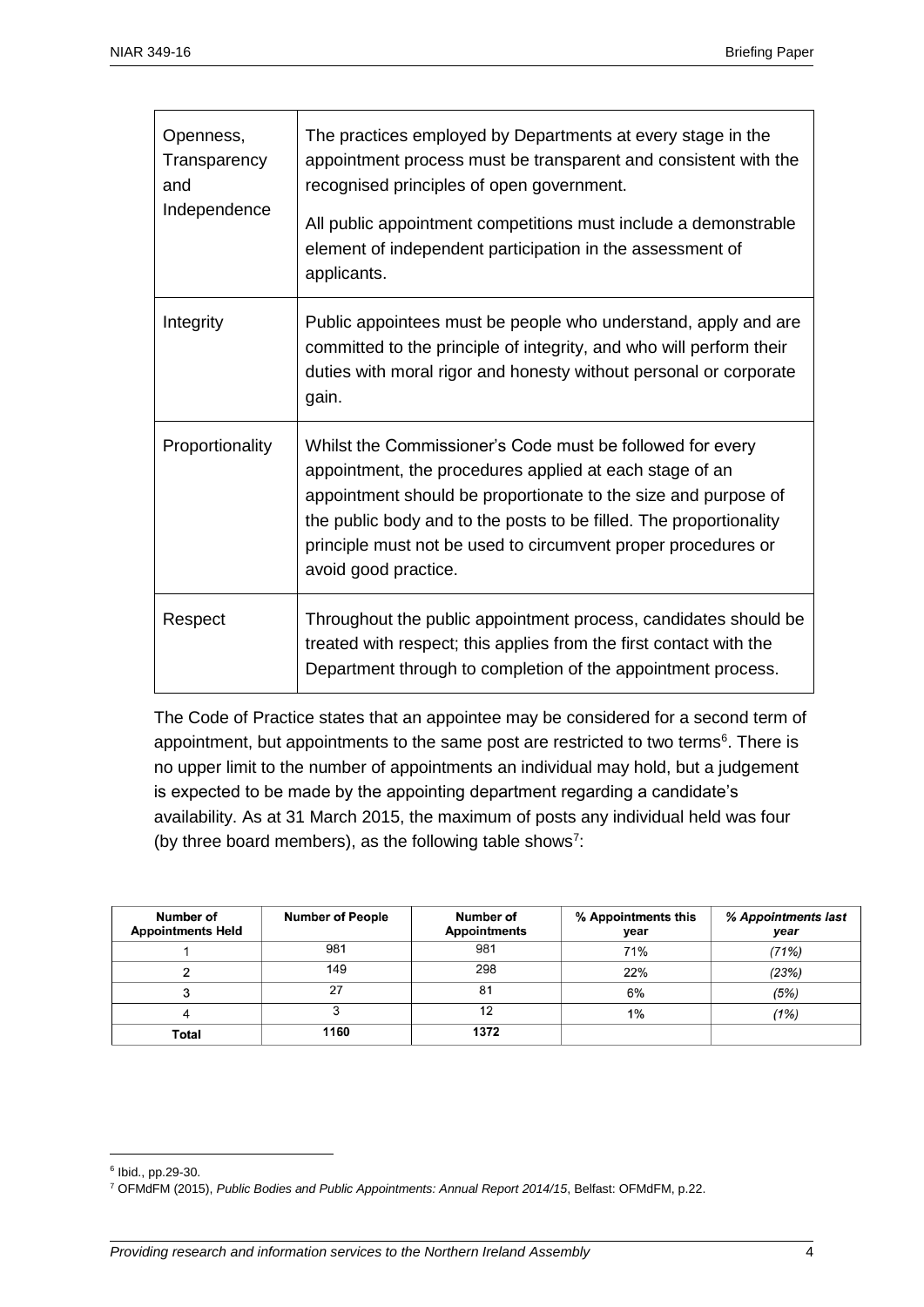| Openness,<br>Transparency<br>and<br>Independence | The practices employed by Departments at every stage in the<br>appointment process must be transparent and consistent with the<br>recognised principles of open government.<br>All public appointment competitions must include a demonstrable<br>element of independent participation in the assessment of<br>applicants.                            |
|--------------------------------------------------|-------------------------------------------------------------------------------------------------------------------------------------------------------------------------------------------------------------------------------------------------------------------------------------------------------------------------------------------------------|
| Integrity                                        | Public appointees must be people who understand, apply and are<br>committed to the principle of integrity, and who will perform their<br>duties with moral rigor and honesty without personal or corporate<br>gain.                                                                                                                                   |
| Proportionality                                  | Whilst the Commissioner's Code must be followed for every<br>appointment, the procedures applied at each stage of an<br>appointment should be proportionate to the size and purpose of<br>the public body and to the posts to be filled. The proportionality<br>principle must not be used to circumvent proper procedures or<br>avoid good practice. |
| Respect                                          | Throughout the public appointment process, candidates should be<br>treated with respect; this applies from the first contact with the<br>Department through to completion of the appointment process.                                                                                                                                                 |

The Code of Practice states that an appointee may be considered for a second term of appointment, but appointments to the same post are restricted to two terms<sup>6</sup>. There is no upper limit to the number of appointments an individual may hold, but a judgement is expected to be made by the appointing department regarding a candidate's availability. As at 31 March 2015, the maximum of posts any individual held was four (by three board members), as the following table shows<sup>7</sup>:

| Number of<br><b>Appointments Held</b> | <b>Number of People</b> | Number of<br><b>Appointments</b> | % Appointments this<br>year | % Appointments last<br>year |
|---------------------------------------|-------------------------|----------------------------------|-----------------------------|-----------------------------|
|                                       | 981                     | 981                              | 71%                         | (71%)                       |
|                                       | 149                     | 298                              | 22%                         | (23%)                       |
|                                       | 27                      | 81                               | 6%                          | (5%)                        |
|                                       |                         | 12                               | 1%                          | (1%)                        |
| Total                                 | 1160                    | 1372                             |                             |                             |

<sup>6</sup> Ibid., pp.29-30.

<sup>7</sup> OFMdFM (2015), *Public Bodies and Public Appointments: Annual Report 2014/15*, Belfast: OFMdFM, p.22.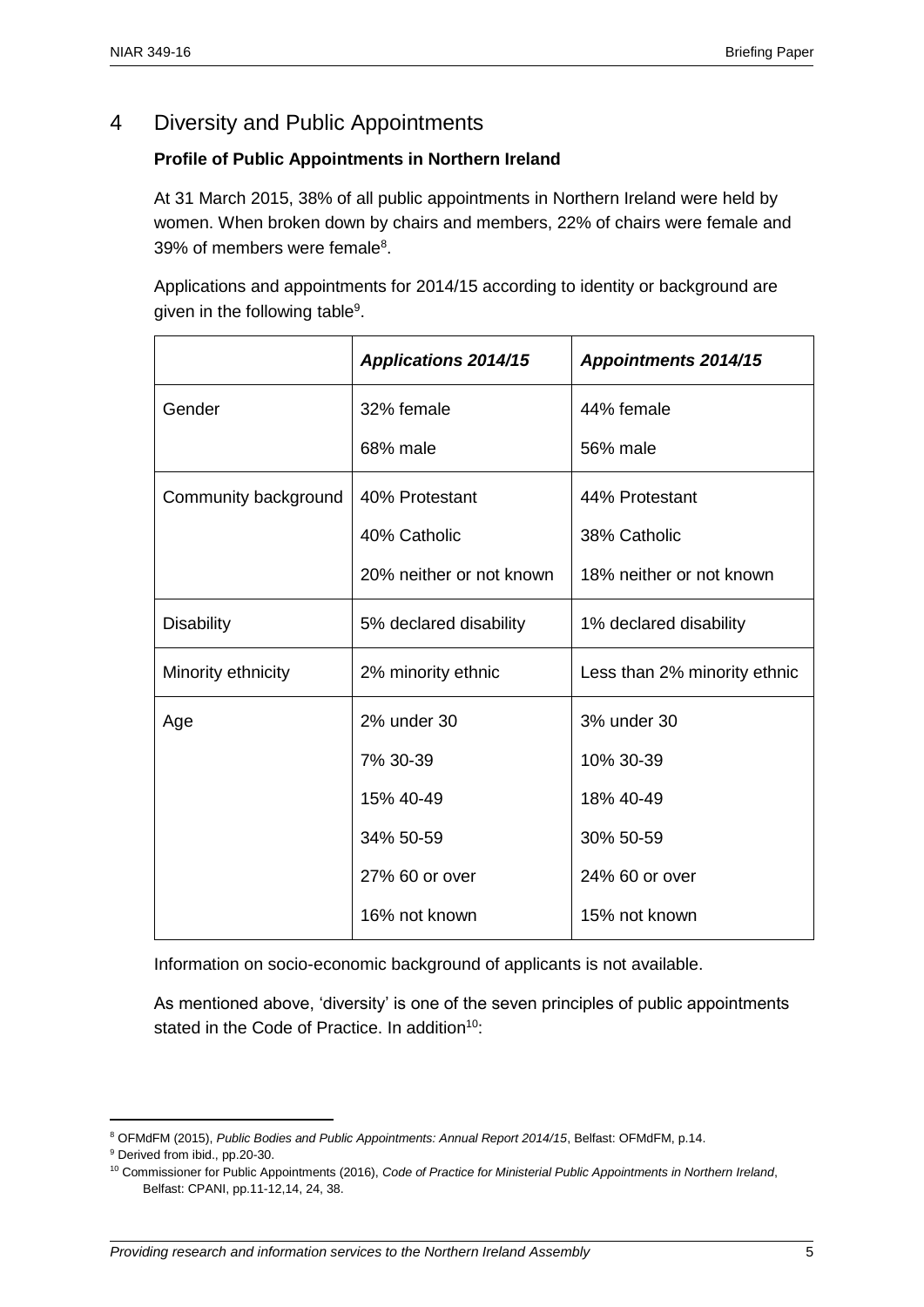## 4 Diversity and Public Appointments

#### **Profile of Public Appointments in Northern Ireland**

At 31 March 2015, 38% of all public appointments in Northern Ireland were held by women. When broken down by chairs and members, 22% of chairs were female and 39% of members were female<sup>8</sup>.

Applications and appointments for 2014/15 according to identity or background are given in the following table<sup>9</sup>.

|                      | <b>Applications 2014/15</b> | <b>Appointments 2014/15</b>  |  |
|----------------------|-----------------------------|------------------------------|--|
| Gender               | 32% female                  | 44% female                   |  |
|                      | 68% male                    | 56% male                     |  |
| Community background | 40% Protestant              | 44% Protestant               |  |
|                      | 40% Catholic                | 38% Catholic                 |  |
|                      | 20% neither or not known    | 18% neither or not known     |  |
| <b>Disability</b>    | 5% declared disability      | 1% declared disability       |  |
| Minority ethnicity   | 2% minority ethnic          | Less than 2% minority ethnic |  |
| Age                  | 2% under 30                 | 3% under 30                  |  |
|                      | 7% 30-39                    | 10% 30-39                    |  |
|                      | 15% 40-49                   | 18% 40-49                    |  |
|                      | 34% 50-59                   | 30% 50-59                    |  |
|                      | 27% 60 or over              | 24% 60 or over               |  |
|                      | 16% not known               | 15% not known                |  |

Information on socio-economic background of applicants is not available.

As mentioned above, 'diversity' is one of the seven principles of public appointments stated in the Code of Practice. In addition<sup>10</sup>:

<sup>8</sup> OFMdFM (2015), *Public Bodies and Public Appointments: Annual Report 2014/15*, Belfast: OFMdFM, p.14.

<sup>9</sup> Derived from ibid., pp.20-30.

<sup>10</sup> Commissioner for Public Appointments (2016), *Code of Practice for Ministerial Public Appointments in Northern Ireland*, Belfast: CPANI, pp.11-12,14, 24, 38.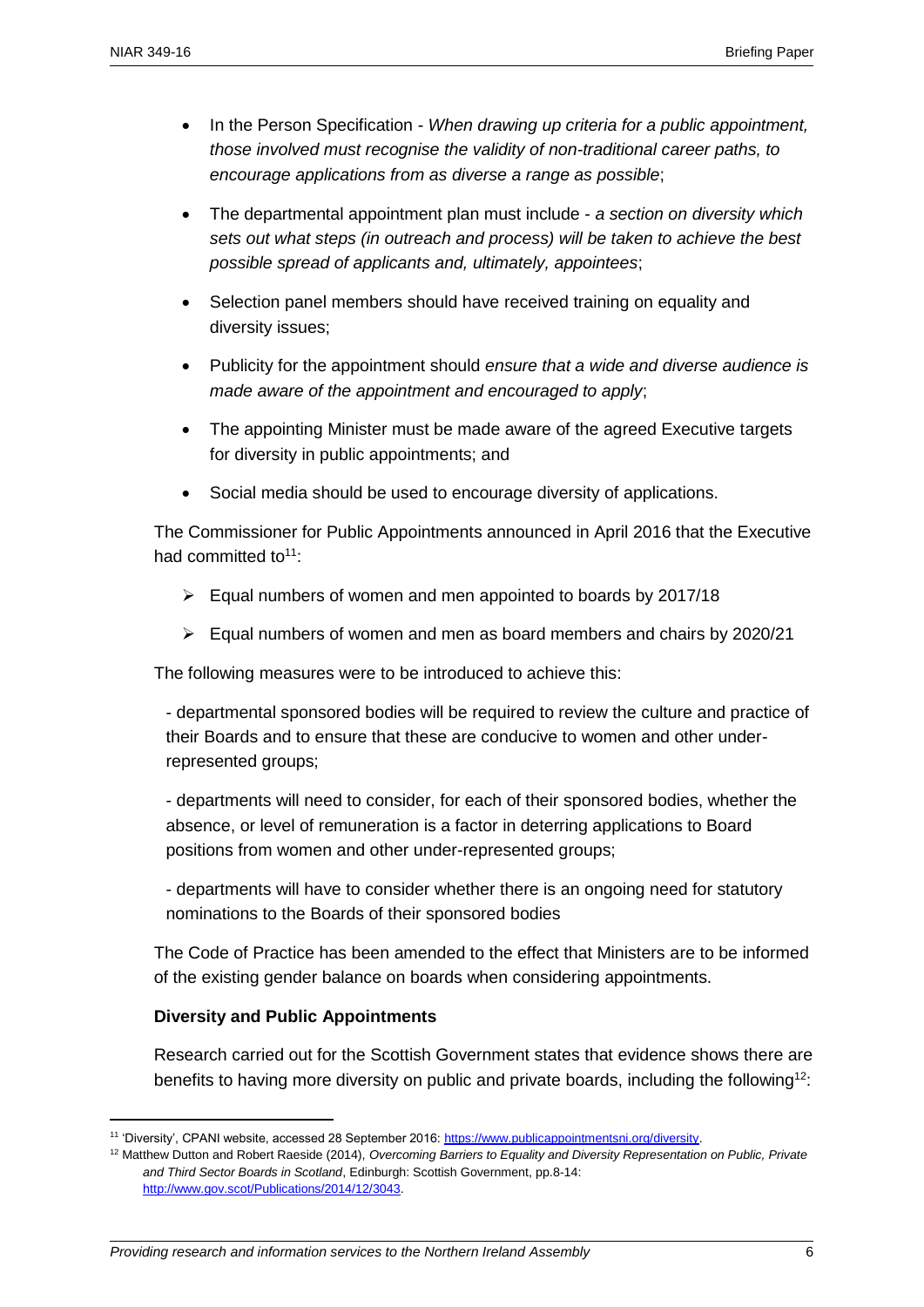- In the Person Specification *When drawing up criteria for a public appointment, those involved must recognise the validity of non-traditional career paths, to encourage applications from as diverse a range as possible*;
- The departmental appointment plan must include *a section on diversity which sets out what steps (in outreach and process) will be taken to achieve the best possible spread of applicants and, ultimately, appointees*;
- Selection panel members should have received training on equality and diversity issues;
- Publicity for the appointment should *ensure that a wide and diverse audience is made aware of the appointment and encouraged to apply*;
- The appointing Minister must be made aware of the agreed Executive targets for diversity in public appointments; and
- Social media should be used to encourage diversity of applications.

The Commissioner for Public Appointments announced in April 2016 that the Executive had committed to $11$ .

- $\triangleright$  Equal numbers of women and men appointed to boards by 2017/18
- $\triangleright$  Equal numbers of women and men as board members and chairs by 2020/21

The following measures were to be introduced to achieve this:

- departmental sponsored bodies will be required to review the culture and practice of their Boards and to ensure that these are conducive to women and other underrepresented groups;

- departments will need to consider, for each of their sponsored bodies, whether the absence, or level of remuneration is a factor in deterring applications to Board positions from women and other under-represented groups;

- departments will have to consider whether there is an ongoing need for statutory nominations to the Boards of their sponsored bodies

The Code of Practice has been amended to the effect that Ministers are to be informed of the existing gender balance on boards when considering appointments.

#### **Diversity and Public Appointments**

 $\overline{a}$ 

Research carried out for the Scottish Government states that evidence shows there are benefits to having more diversity on public and private boards, including the following<sup>12</sup>:

<sup>11</sup> 'Diversity', CPANI website, accessed 28 September 2016: [https://www.publicappointmentsni.org/diversity.](https://www.publicappointmentsni.org/diversity) 

<sup>12</sup> Matthew Dutton and Robert Raeside (2014), *Overcoming Barriers to Equality and Diversity Representation on Public, Private and Third Sector Boards in Scotland*, Edinburgh: Scottish Government, pp.8-14: [http://www.gov.scot/Publications/2014/12/3043.](http://www.gov.scot/Publications/2014/12/3043)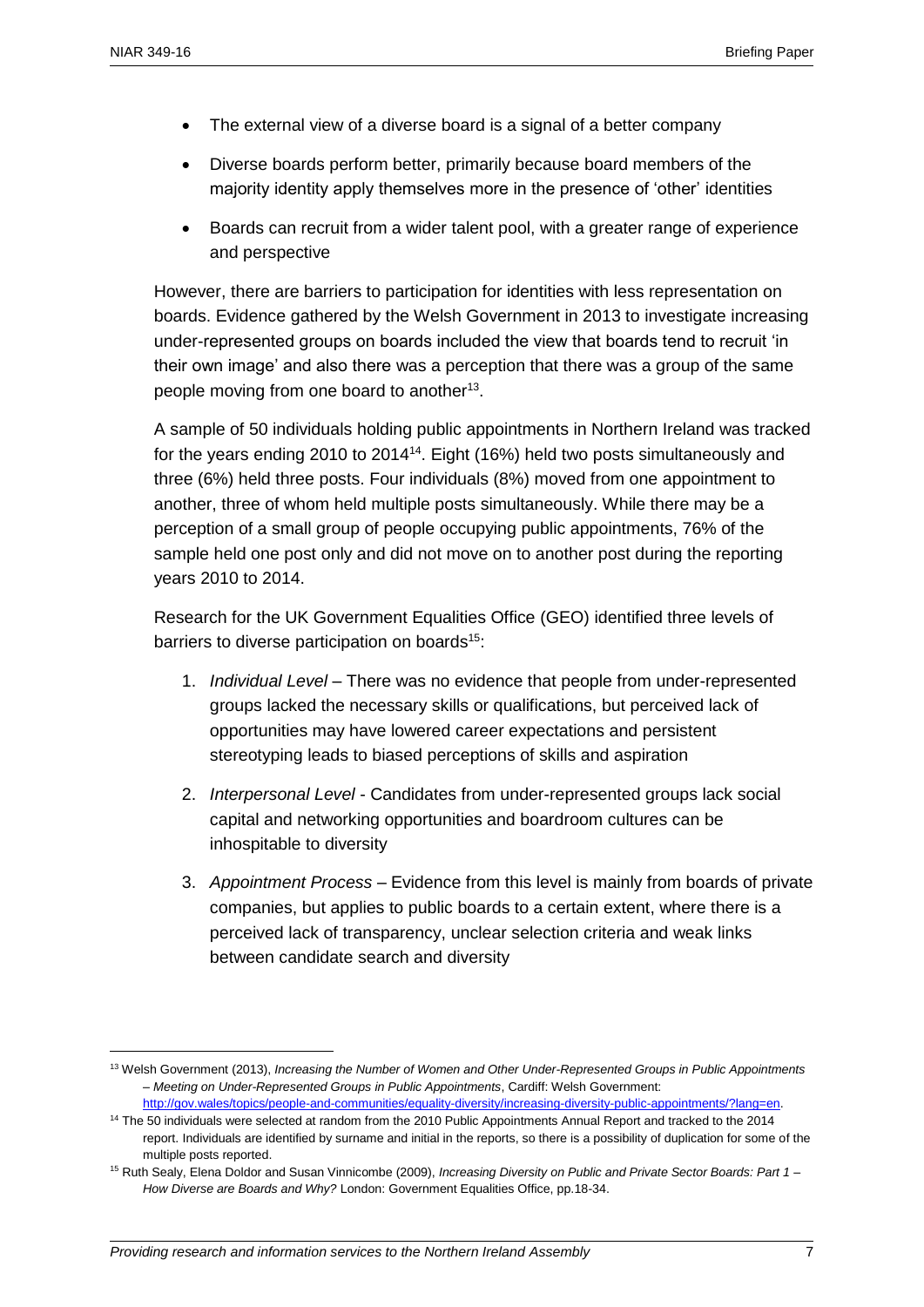$\overline{a}$ 

- The external view of a diverse board is a signal of a better company
- Diverse boards perform better, primarily because board members of the majority identity apply themselves more in the presence of 'other' identities
- Boards can recruit from a wider talent pool, with a greater range of experience and perspective

However, there are barriers to participation for identities with less representation on boards. Evidence gathered by the Welsh Government in 2013 to investigate increasing under-represented groups on boards included the view that boards tend to recruit 'in their own image' and also there was a perception that there was a group of the same people moving from one board to another<sup>13</sup>.

A sample of 50 individuals holding public appointments in Northern Ireland was tracked for the years ending 2010 to 2014<sup>14</sup>. Eight (16%) held two posts simultaneously and three (6%) held three posts. Four individuals (8%) moved from one appointment to another, three of whom held multiple posts simultaneously. While there may be a perception of a small group of people occupying public appointments, 76% of the sample held one post only and did not move on to another post during the reporting years 2010 to 2014.

Research for the UK Government Equalities Office (GEO) identified three levels of barriers to diverse participation on boards<sup>15</sup>:

- 1. *Individual Level –* There was no evidence that people from under-represented groups lacked the necessary skills or qualifications, but perceived lack of opportunities may have lowered career expectations and persistent stereotyping leads to biased perceptions of skills and aspiration
- 2. *Interpersonal Level* Candidates from under-represented groups lack social capital and networking opportunities and boardroom cultures can be inhospitable to diversity
- 3. *Appointment Process*  Evidence from this level is mainly from boards of private companies, but applies to public boards to a certain extent, where there is a perceived lack of transparency, unclear selection criteria and weak links between candidate search and diversity

<sup>13</sup> Welsh Government (2013), *Increasing the Number of Women and Other Under-Represented Groups in Public Appointments – Meeting on Under-Represented Groups in Public Appointments*, Cardiff: Welsh Government:

[http://gov.wales/topics/people-and-communities/equality-diversity/increasing-diversity-public-appointments/?lang=en.](http://gov.wales/topics/people-and-communities/equality-diversity/increasing-diversity-public-appointments/?lang=en)

<sup>&</sup>lt;sup>14</sup> The 50 individuals were selected at random from the 2010 Public Appointments Annual Report and tracked to the 2014 report. Individuals are identified by surname and initial in the reports, so there is a possibility of duplication for some of the multiple posts reported.

<sup>15</sup> Ruth Sealy, Elena Doldor and Susan Vinnicombe (2009), *Increasing Diversity on Public and Private Sector Boards: Part 1 – How Diverse are Boards and Why?* London: Government Equalities Office, pp.18-34.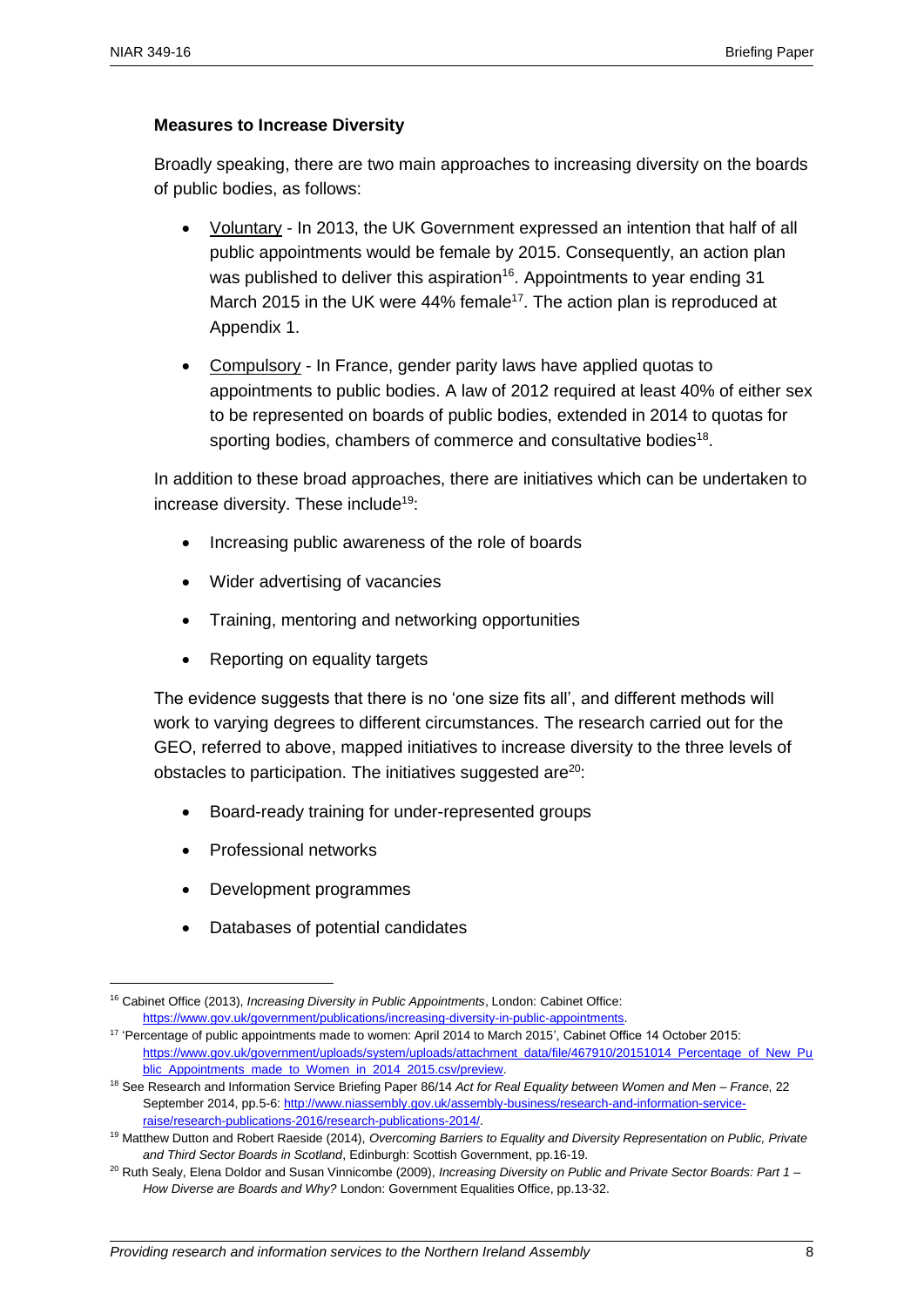#### **Measures to Increase Diversity**

Broadly speaking, there are two main approaches to increasing diversity on the boards of public bodies, as follows:

- Voluntary In 2013, the UK Government expressed an intention that half of all public appointments would be female by 2015. Consequently, an action plan was published to deliver this aspiration<sup>16</sup>. Appointments to year ending 31 March 2015 in the UK were 44% female<sup>17</sup>. The action plan is reproduced at Appendix 1.
- Compulsory In France, gender parity laws have applied quotas to appointments to public bodies. A law of 2012 required at least 40% of either sex to be represented on boards of public bodies, extended in 2014 to quotas for sporting bodies, chambers of commerce and consultative bodies $^{18}$ .

In addition to these broad approaches, there are initiatives which can be undertaken to increase diversity. These include<sup>19</sup>:

- Increasing public awareness of the role of boards
- Wider advertising of vacancies
- Training, mentoring and networking opportunities
- Reporting on equality targets

The evidence suggests that there is no 'one size fits all', and different methods will work to varying degrees to different circumstances. The research carried out for the GEO, referred to above, mapped initiatives to increase diversity to the three levels of obstacles to participation. The initiatives suggested are $20$ :

- Board-ready training for under-represented groups
- Professional networks

- Development programmes
- Databases of potential candidates

<sup>16</sup> Cabinet Office (2013), *Increasing Diversity in Public Appointments*, London: Cabinet Office: [https://www.gov.uk/government/publications/increasing-diversity-in-public-appointments.](https://www.gov.uk/government/publications/increasing-diversity-in-public-appointments)

<sup>&</sup>lt;sup>17</sup> 'Percentage of public appointments made to women: April 2014 to March 2015', Cabinet Office 14 October 2015: [https://www.gov.uk/government/uploads/system/uploads/attachment\\_data/file/467910/20151014\\_Percentage\\_of\\_New\\_Pu](https://www.gov.uk/government/uploads/system/uploads/attachment_data/file/467910/20151014_Percentage_of_New_Public_Appointments_made_to_Women_in_2014_2015.csv/preview) blic Appointments made to Women in 2014 2015.csv/preview.

<sup>18</sup> See Research and Information Service Briefing Paper 86/14 *Act for Real Equality between Women and Men – France*, 22 September 2014, pp.5-6: [http://www.niassembly.gov.uk/assembly-business/research-and-information-service](http://www.niassembly.gov.uk/assembly-business/research-and-information-service-raise/research-publications-2016/research-publications-2014/)[raise/research-publications-2016/research-publications-2014/.](http://www.niassembly.gov.uk/assembly-business/research-and-information-service-raise/research-publications-2016/research-publications-2014/)

<sup>19</sup> Matthew Dutton and Robert Raeside (2014), *Overcoming Barriers to Equality and Diversity Representation on Public, Private and Third Sector Boards in Scotland*, Edinburgh: Scottish Government, pp.16-19.

<sup>20</sup> Ruth Sealy, Elena Doldor and Susan Vinnicombe (2009), *Increasing Diversity on Public and Private Sector Boards: Part 1 – How Diverse are Boards and Why?* London: Government Equalities Office, pp.13-32.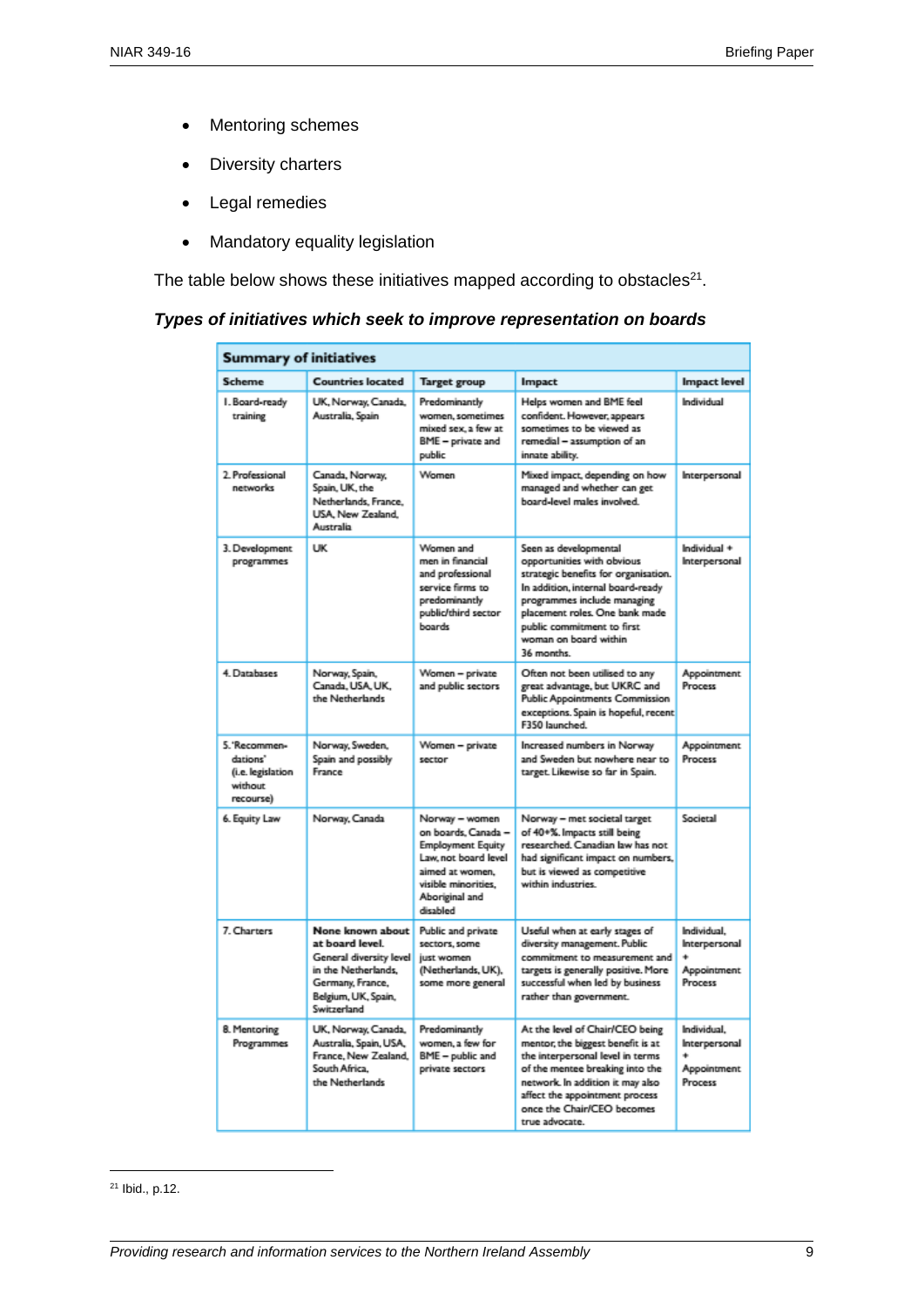- Mentoring schemes
- Diversity charters
- Legal remedies
- Mandatory equality legislation

The table below shows these initiatives mapped according to obstacles $^{21}$ .

#### *Types of initiatives which seek to improve representation on boards*

| <b>Summary of initiatives</b>                                          |                                                                                                                                                 |                                                                                                                                                                   |                                                                                                                                                                                                                                                                        |                                                        |  |  |  |
|------------------------------------------------------------------------|-------------------------------------------------------------------------------------------------------------------------------------------------|-------------------------------------------------------------------------------------------------------------------------------------------------------------------|------------------------------------------------------------------------------------------------------------------------------------------------------------------------------------------------------------------------------------------------------------------------|--------------------------------------------------------|--|--|--|
| <b>Scheme</b>                                                          | <b>Countries located</b>                                                                                                                        | Target group                                                                                                                                                      | Impact                                                                                                                                                                                                                                                                 | <b>Impact level</b>                                    |  |  |  |
| I. Board-ready<br>training                                             | UK, Norway, Canada,<br>Australia, Spain                                                                                                         | Predominantly<br>women, sometimes<br>mixed sex, a few at<br>BME - private and<br>public                                                                           | Helps women and BME feel<br>confident. However, appears<br>sometimes to be viewed as<br>remedial - assumption of an<br>innate ability.                                                                                                                                 | Individual                                             |  |  |  |
| 2. Professional<br>networks                                            | Canada, Norway,<br>Spain, UK, the<br>Netherlands, France,<br>USA, New Zealand.<br>Australia                                                     | Women                                                                                                                                                             | Mixed impact, depending on how<br>managed and whether can get<br>board-level males involved.                                                                                                                                                                           | Interpersonal                                          |  |  |  |
| 3. Development<br>programmes                                           | <b>UK</b>                                                                                                                                       | Women and<br>men in financial<br>and professional<br>service firms to<br>predominantly<br>public/third sector<br>boards                                           | Seen as developmental<br>opportunities with obvious<br>strategic benefits for organisation.<br>In addition, internal board-ready<br>programmes include managing<br>placement roles. One bank made<br>public commitment to first<br>woman on board within<br>36 months. | Individual +<br>Interpersonal                          |  |  |  |
| 4. Databases                                                           | Norway, Spain,<br>Canada, USA, UK,<br>the Netherlands                                                                                           | Women - private<br>and public sectors                                                                                                                             | Often not been utilised to any<br>great advantage, but UKRC and<br><b>Public Appointments Commission</b><br>exceptions. Spain is hopeful, recent<br>F350 launched.                                                                                                     | Appointment<br>Process                                 |  |  |  |
| 5. 'Recommen-<br>dations"<br>(i.e. legislation<br>without<br>recourse) | Norway, Sweden,<br>Spain and possibly<br>France                                                                                                 | Women - private<br>sector                                                                                                                                         | Increased numbers in Norway<br>and Sweden but nowhere near to<br>target. Likewise so far in Spain.                                                                                                                                                                     | Appointment<br>Process                                 |  |  |  |
| 6. Equity Law                                                          | Norway, Canada                                                                                                                                  | Norway - women<br>on boards. Canada -<br><b>Employment Equity</b><br>Law, not board level<br>aimed at women.<br>visible minorities.<br>Aboriginal and<br>disabled | Norway - met societal target<br>of 40+%. Impacts still being<br>researched. Canadian law has not<br>had significant impact on numbers,<br>but is viewed as competitive<br>within industries.                                                                           | Societal                                               |  |  |  |
| 7. Charters                                                            | None known about<br>at board level.<br>General diversity level<br>in the Netherlands.<br>Germany, France,<br>Belgium, UK, Spain,<br>Switzerland | Public and private<br>sectors, some<br>just women<br>(Netherlands, UK),<br>some more general                                                                      | Useful when at early stages of<br>diversity management. Public<br>commitment to measurement and<br>targets is generally positive. More<br>successful when led by business<br>rather than government.                                                                   | Individual.<br>Interpersonal<br>Appointment<br>Process |  |  |  |
| 8. Mentoring<br>Programmes                                             | UK, Norway, Canada,<br>Australia, Spain, USA,<br>France, New Zealand.<br>South Africa.<br>the Netherlands                                       | Predominantly<br>women, a few for<br>BME - public and<br>private sectors                                                                                          | At the level of Chair/CEO being<br>mentor, the biggest benefit is at<br>the interpersonal level in terms<br>of the mentee breaking into the<br>network. In addition it may also<br>affect the appointment process<br>once the Chair/CEO becomes<br>true advocate.      | Individual.<br>Interpersonal<br>Appointment<br>Process |  |  |  |

<sup>21</sup> Ibid., p.12.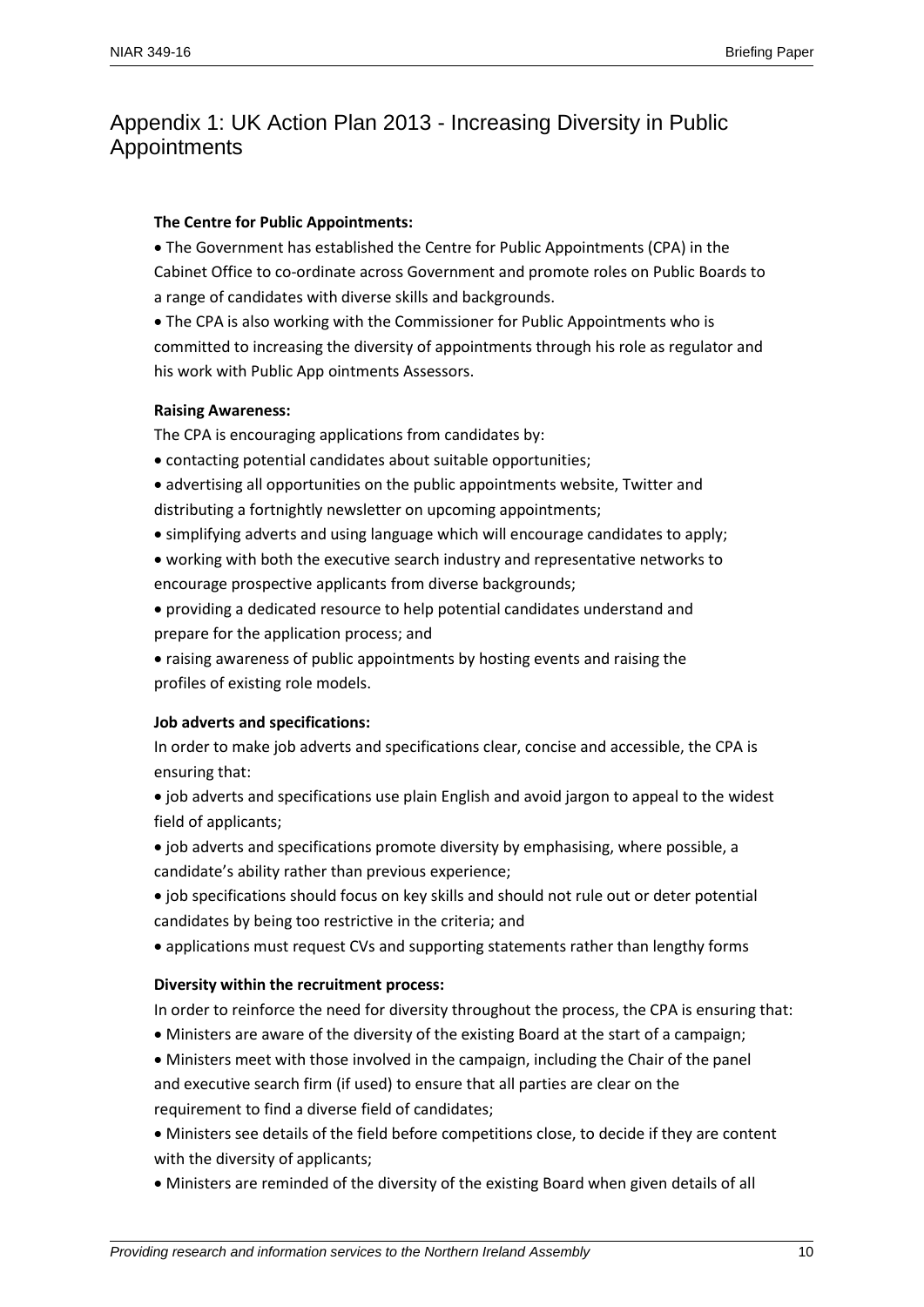# Appendix 1: UK Action Plan 2013 - Increasing Diversity in Public Appointments

#### **The Centre for Public Appointments:**

 The Government has established the Centre for Public Appointments (CPA) in the Cabinet Office to co-ordinate across Government and promote roles on Public Boards to a range of candidates with diverse skills and backgrounds.

 The CPA is also working with the Commissioner for Public Appointments who is committed to increasing the diversity of appointments through his role as regulator and his work with Public App ointments Assessors.

#### **Raising Awareness:**

The CPA is encouraging applications from candidates by:

- contacting potential candidates about suitable opportunities;
- advertising all opportunities on the public appointments website, Twitter and
- distributing a fortnightly newsletter on upcoming appointments;
- simplifying adverts and using language which will encourage candidates to apply;
- working with both the executive search industry and representative networks to encourage prospective applicants from diverse backgrounds;
- providing a dedicated resource to help potential candidates understand and prepare for the application process; and
- raising awareness of public appointments by hosting events and raising the profiles of existing role models.

#### **Job adverts and specifications:**

In order to make job adverts and specifications clear, concise and accessible, the CPA is ensuring that:

• job adverts and specifications use plain English and avoid jargon to appeal to the widest field of applicants;

 job adverts and specifications promote diversity by emphasising, where possible, a candidate's ability rather than previous experience;

- job specifications should focus on key skills and should not rule out or deter potential candidates by being too restrictive in the criteria; and
- applications must request CVs and supporting statements rather than lengthy forms

#### **Diversity within the recruitment process:**

In order to reinforce the need for diversity throughout the process, the CPA is ensuring that:

Ministers are aware of the diversity of the existing Board at the start of a campaign;

 Ministers meet with those involved in the campaign, including the Chair of the panel and executive search firm (if used) to ensure that all parties are clear on the requirement to find a diverse field of candidates;

- Ministers see details of the field before competitions close, to decide if they are content with the diversity of applicants;
- Ministers are reminded of the diversity of the existing Board when given details of all